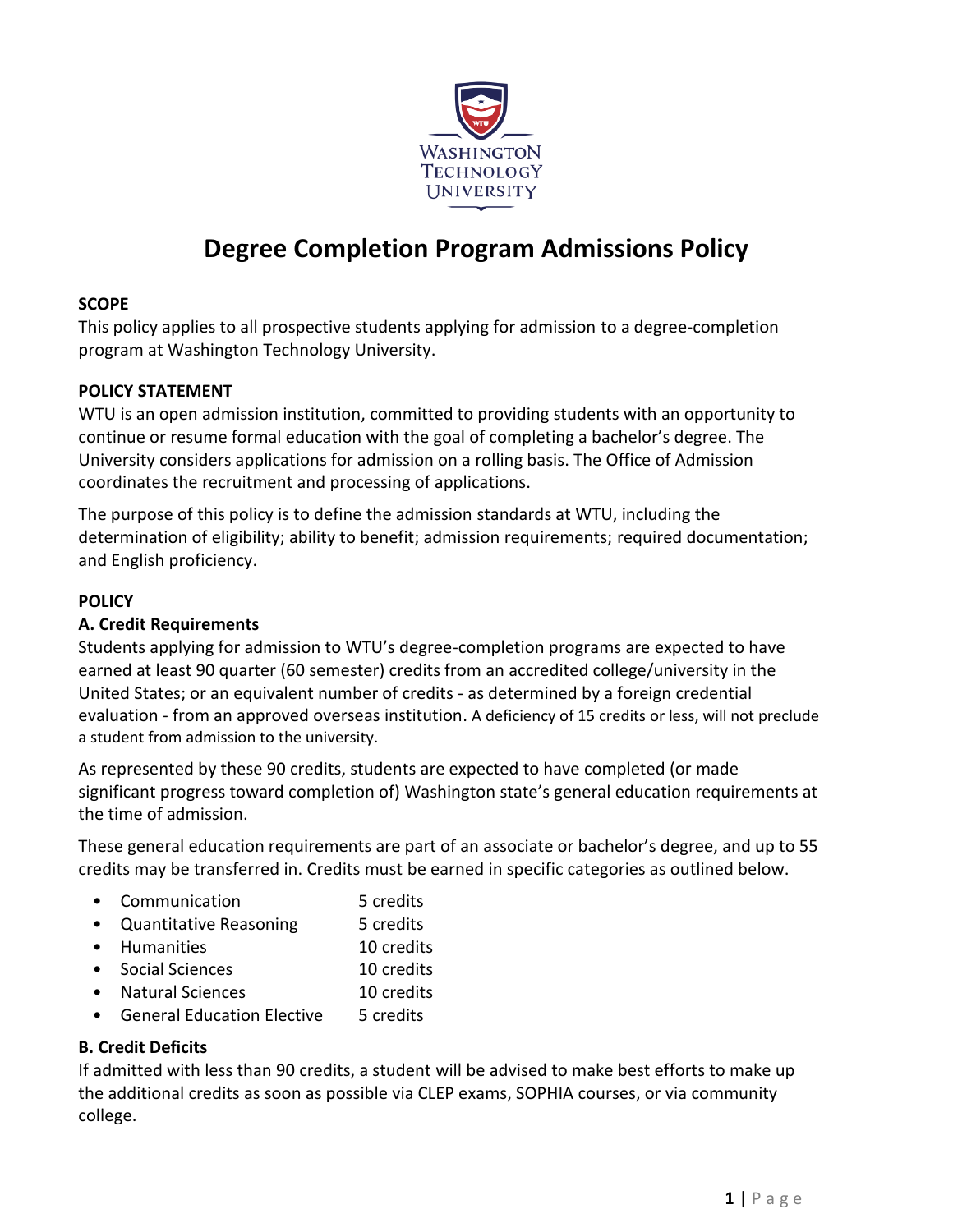

# **Degree Completion Program Admissions Policy**

## **SCOPE**

This policy applies to all prospective students applying for admission to a degree-completion program at Washington Technology University.

## **POLICY STATEMENT**

WTU is an open admission institution, committed to providing students with an opportunity to continue or resume formal education with the goal of completing a bachelor's degree. The University considers applications for admission on a rolling basis. The Office of Admission coordinates the recruitment and processing of applications.

The purpose of this policy is to define the admission standards at WTU, including the determination of eligibility; ability to benefit; admission requirements; required documentation; and English proficiency.

## **POLICY**

## **A. Credit Requirements**

Students applying for admission to WTU's degree-completion programs are expected to have earned at least 90 quarter (60 semester) credits from an accredited college/university in the United States; or an equivalent number of credits - as determined by a foreign credential evaluation - from an approved overseas institution. A deficiency of 15 credits or less, will not preclude a student from admission to the university.

As represented by these 90 credits, students are expected to have completed (or made significant progress toward completion of) Washington state's general education requirements at the time of admission.

These general education requirements are part of an associate or bachelor's degree, and up to 55 credits may be transferred in. Credits must be earned in specific categories as outlined below.

- Communication 5 credits
- Quantitative Reasoning 5 credits
- Humanities 10 credits
- Social Sciences 10 credits
- Natural Sciences 10 credits
- General Education Elective 5 credits

## **B. Credit Deficits**

If admitted with less than 90 credits, a student will be advised to make best efforts to make up the additional credits as soon as possible via CLEP exams, SOPHIA courses, or via community college.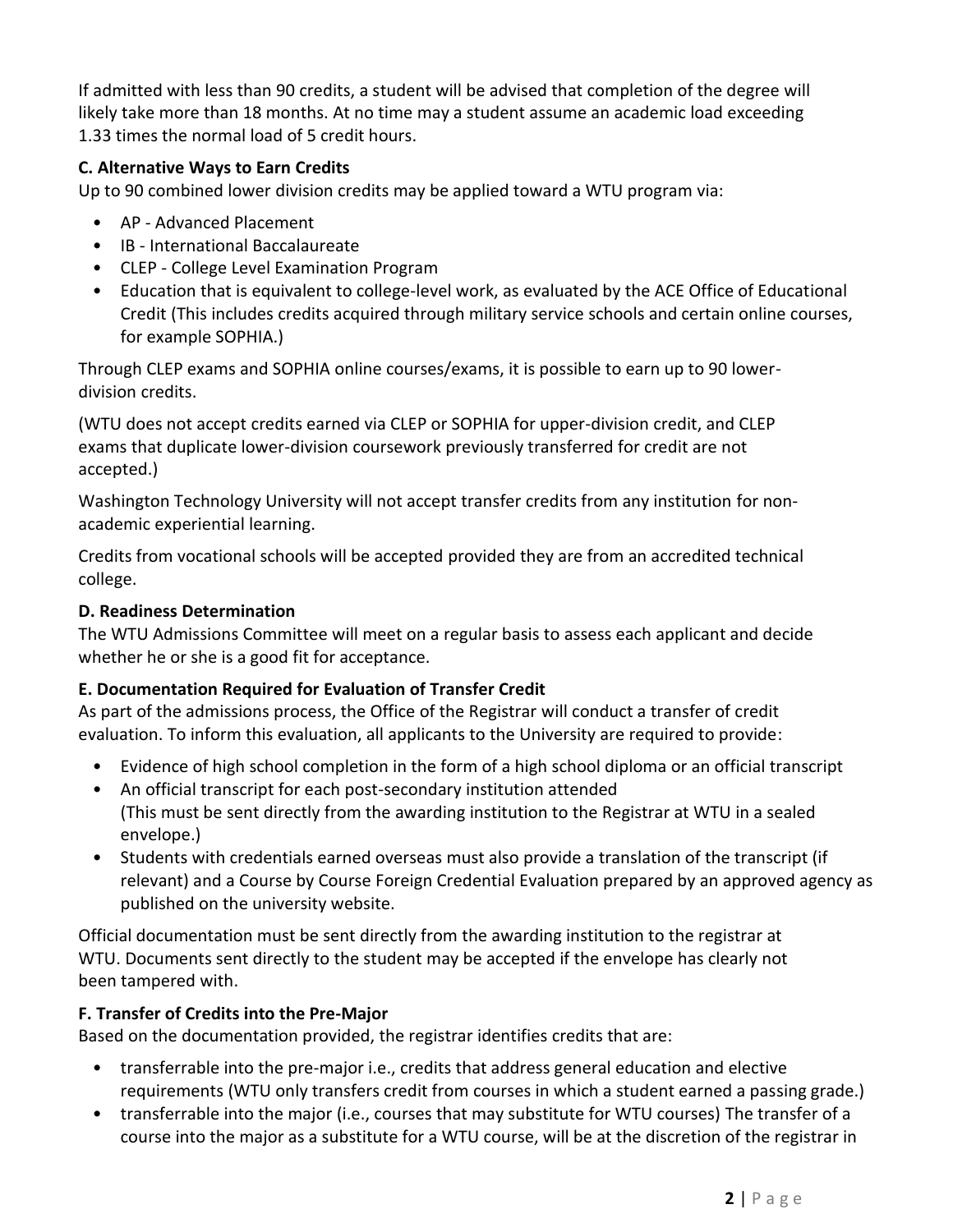If admitted with less than 90 credits, a student will be advised that completion of the degree will likely take more than 18 months. At no time may a student assume an academic load exceeding 1.33 times the normal load of 5 credit hours.

## **C. Alternative Ways to Earn Credits**

Up to 90 combined lower division credits may be applied toward a WTU program via:

- AP Advanced Placement
- IB International Baccalaureate
- CLEP College Level Examination Program
- Education that is equivalent to college-level work, as evaluated by the ACE Office of Educational Credit (This includes credits acquired through military service schools and certain online courses, for example SOPHIA.)

Through CLEP exams and SOPHIA online courses/exams, it is possible to earn up to 90 lowerdivision credits.

(WTU does not accept credits earned via CLEP or SOPHIA for upper-division credit, and CLEP exams that duplicate lower-division coursework previously transferred for credit are not accepted.)

Washington Technology University will not accept transfer credits from any institution for nonacademic experiential learning.

Credits from vocational schools will be accepted provided they are from an accredited technical college.

## **D. Readiness Determination**

The WTU Admissions Committee will meet on a regular basis to assess each applicant and decide whether he or she is a good fit for acceptance.

## **E. Documentation Required for Evaluation of Transfer Credit**

As part of the admissions process, the Office of the Registrar will conduct a transfer of credit evaluation. To inform this evaluation, all applicants to the University are required to provide:

- Evidence of high school completion in the form of a high school diploma or an official transcript
- An official transcript for each post-secondary institution attended (This must be sent directly from the awarding institution to the Registrar at WTU in a sealed envelope.)
- Students with credentials earned overseas must also provide a translation of the transcript (if relevant) and a Course by Course Foreign Credential Evaluation prepared by an approved agency as published on the university website.

Official documentation must be sent directly from the awarding institution to the registrar at WTU. Documents sent directly to the student may be accepted if the envelope has clearly not been tampered with.

## **F. Transfer of Credits into the Pre-Major**

Based on the documentation provided, the registrar identifies credits that are:

- transferrable into the pre-major i.e., credits that address general education and elective requirements (WTU only transfers credit from courses in which a student earned a passing grade.)
- transferrable into the major (i.e., courses that may substitute for WTU courses) The transfer of a course into the major as a substitute for a WTU course, will be at the discretion of the registrar in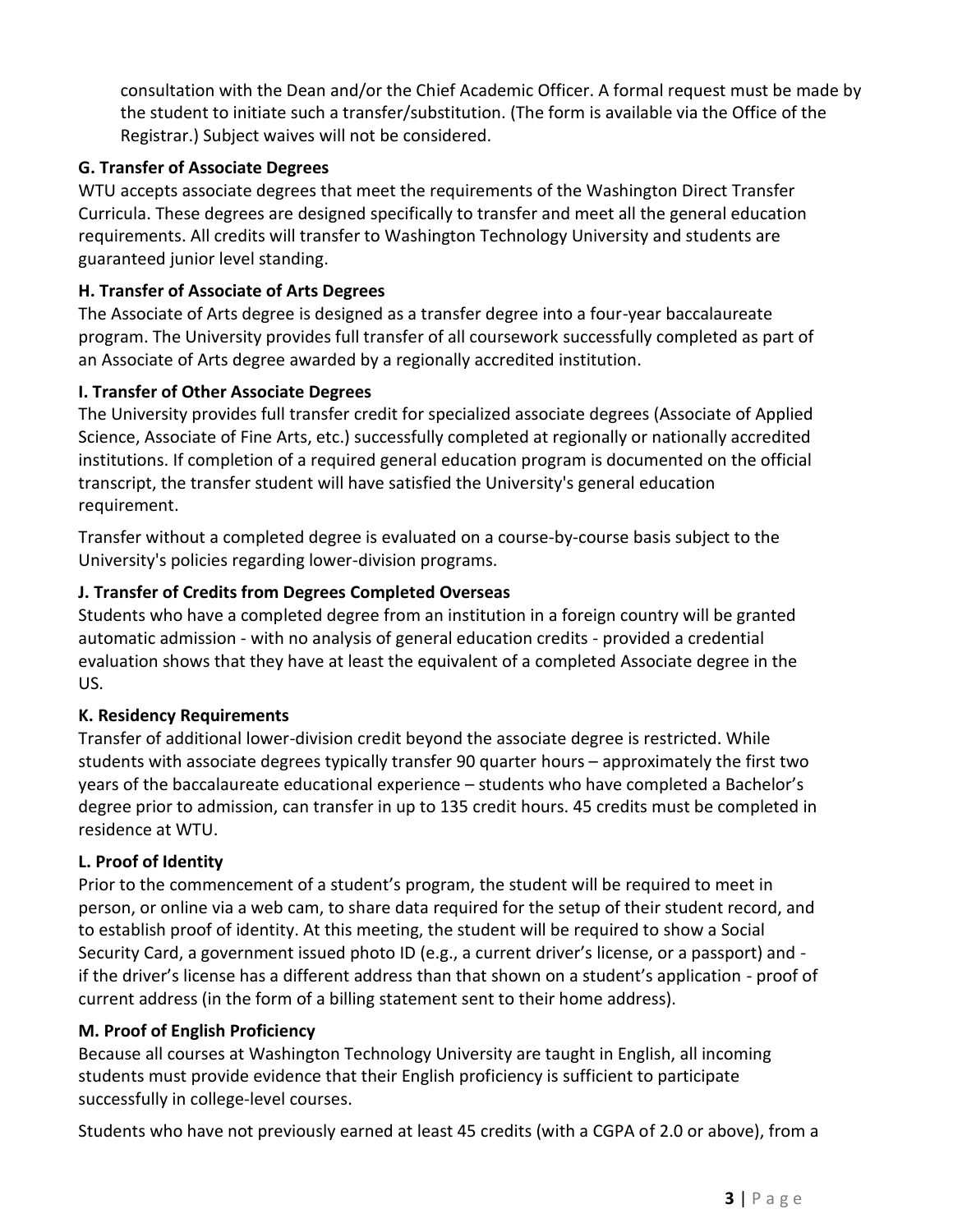consultation with the Dean and/or the Chief Academic Officer. A formal request must be made by the student to initiate such a transfer/substitution. (The form is available via the Office of the Registrar.) Subject waives will not be considered.

## **G. Transfer of Associate Degrees**

WTU accepts associate degrees that meet the requirements of the Washington Direct Transfer Curricula. These degrees are designed specifically to transfer and meet all the general education requirements. All credits will transfer to Washington Technology University and students are guaranteed junior level standing.

## **H. Transfer of Associate of Arts Degrees**

The Associate of Arts degree is designed as a transfer degree into a four-year baccalaureate program. The University provides full transfer of all coursework successfully completed as part of an Associate of Arts degree awarded by a regionally accredited institution.

## **I. Transfer of Other Associate Degrees**

The University provides full transfer credit for specialized associate degrees (Associate of Applied Science, Associate of Fine Arts, etc.) successfully completed at regionally or nationally accredited institutions. If completion of a required general education program is documented on the official transcript, the transfer student will have satisfied the University's general education requirement.

Transfer without a completed degree is evaluated on a course-by-course basis subject to the University's policies regarding lower-division programs.

## **J. Transfer of Credits from Degrees Completed Overseas**

Students who have a completed degree from an institution in a foreign country will be granted automatic admission - with no analysis of general education credits - provided a credential evaluation shows that they have at least the equivalent of a completed Associate degree in the US.

## **K. Residency Requirements**

Transfer of additional lower-division credit beyond the associate degree is restricted. While students with associate degrees typically transfer 90 quarter hours – approximately the first two years of the baccalaureate educational experience – students who have completed a Bachelor's degree prior to admission, can transfer in up to 135 credit hours. 45 credits must be completed in residence at WTU.

## **L. Proof of Identity**

Prior to the commencement of a student's program, the student will be required to meet in person, or online via a web cam, to share data required for the setup of their student record, and to establish proof of identity. At this meeting, the student will be required to show a Social Security Card, a government issued photo ID (e.g., a current driver's license, or a passport) and if the driver's license has a different address than that shown on a student's application - proof of current address (in the form of a billing statement sent to their home address).

## **M. Proof of English Proficiency**

Because all courses at Washington Technology University are taught in English, all incoming students must provide evidence that their English proficiency is sufficient to participate successfully in college-level courses.

Students who have not previously earned at least 45 credits (with a CGPA of 2.0 or above), from a